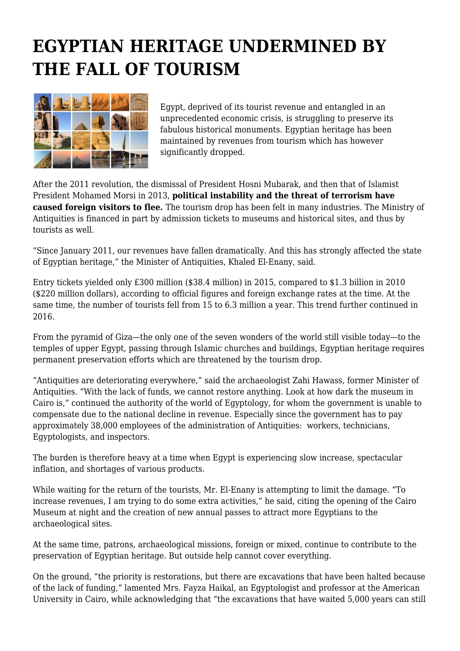## **EGYPTIAN HERITAGE UNDERMINED BY THE FALL OF TOURISM**



Egypt, deprived of its tourist revenue and entangled in an unprecedented economic crisis, is struggling to preserve its fabulous historical monuments. Egyptian heritage has been maintained by revenues from tourism which has however significantly dropped.

After the 2011 revolution, the dismissal of President Hosni Mubarak, and then that of Islamist President Mohamed Morsi in 2013, **political instability and the threat of terrorism have caused foreign visitors to flee.** The tourism drop has been felt in many industries. The Ministry of Antiquities is financed in part by admission tickets to museums and historical sites, and thus by tourists as well.

"Since January 2011, our revenues have fallen dramatically. And this has strongly affected the state of Egyptian heritage," the Minister of Antiquities, Khaled El-Enany, said.

Entry tickets yielded only £300 million (\$38.4 million) in 2015, compared to \$1.3 billion in 2010 (\$220 million dollars), according to official figures and foreign exchange rates at the time. At the same time, the number of tourists fell from 15 to 6.3 million a year. This trend further continued in 2016.

From the pyramid of Giza—the only one of the seven wonders of the world still visible today—to the temples of upper Egypt, passing through Islamic churches and buildings, Egyptian heritage requires permanent preservation efforts which are threatened by the tourism drop.

"Antiquities are deteriorating everywhere," said the archaeologist Zahi Hawass, former Minister of Antiquities. "With the lack of funds, we cannot restore anything. Look at how dark the museum in Cairo is," continued the authority of the world of Egyptology, for whom the government is unable to compensate due to the national decline in revenue. Especially since the government has to pay approximately 38,000 employees of the administration of Antiquities: workers, technicians, Egyptologists, and inspectors.

The burden is therefore heavy at a time when Egypt is experiencing slow increase, spectacular inflation, and shortages of various products.

While waiting for the return of the tourists, Mr. El-Enany is attempting to limit the damage. "To increase revenues, I am trying to do some extra activities," he said, citing the opening of the Cairo Museum at night and the creation of new annual passes to attract more Egyptians to the archaeological sites.

At the same time, patrons, archaeological missions, foreign or mixed, continue to contribute to the preservation of Egyptian heritage. But outside help cannot cover everything.

On the ground, "the priority is restorations, but there are excavations that have been halted because of the lack of funding," lamented Mrs. Fayza Haikal, an Egyptologist and professor at the American University in Cairo, while acknowledging that "the excavations that have waited 5,000 years can still